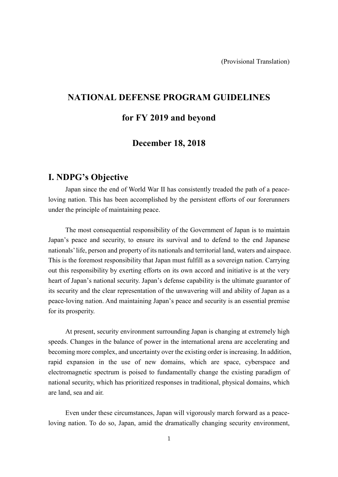# **NATIONAL DEFENSE PROGRAM GUIDELINES**

# **for FY 2019 and beyond**

# **December 18, 2018**

# **I. NDPG's Objective**

Japan since the end of World War II has consistently treaded the path of a peaceloving nation. This has been accomplished by the persistent efforts of our forerunners under the principle of maintaining peace.

The most consequential responsibility of the Government of Japan is to maintain Japan's peace and security, to ensure its survival and to defend to the end Japanese nationals'life, person and property of its nationals and territorial land, waters and airspace. This is the foremost responsibility that Japan must fulfill as a sovereign nation. Carrying out this responsibility by exerting efforts on its own accord and initiative is at the very heart of Japan's national security. Japan's defense capability is the ultimate guarantor of its security and the clear representation of the unwavering will and ability of Japan as a peace-loving nation. And maintaining Japan's peace and security is an essential premise for its prosperity.

At present, security environment surrounding Japan is changing at extremely high speeds. Changes in the balance of power in the international arena are accelerating and becoming more complex, and uncertainty over the existing order is increasing. In addition, rapid expansion in the use of new domains, which are space, cyberspace and electromagnetic spectrum is poised to fundamentally change the existing paradigm of national security, which has prioritized responses in traditional, physical domains, which are land, sea and air.

Even under these circumstances, Japan will vigorously march forward as a peaceloving nation. To do so, Japan, amid the dramatically changing security environment,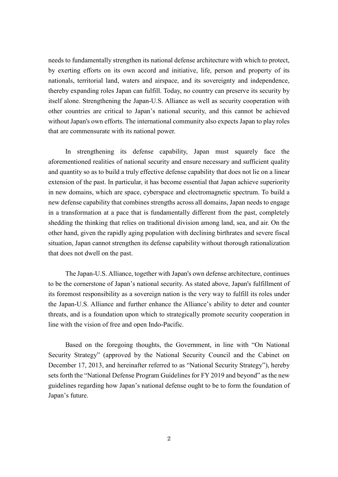needs to fundamentally strengthen its national defense architecture with which to protect, by exerting efforts on its own accord and initiative, life, person and property of its nationals, territorial land, waters and airspace, and its sovereignty and independence, thereby expanding roles Japan can fulfill. Today, no country can preserve its security by itself alone. Strengthening the Japan-U.S. Alliance as well as security cooperation with other countries are critical to Japan's national security, and this cannot be achieved without Japan's own efforts. The international community also expects Japan to play roles that are commensurate with its national power.

In strengthening its defense capability, Japan must squarely face the aforementioned realities of national security and ensure necessary and sufficient quality and quantity so as to build a truly effective defense capability that does not lie on a linear extension of the past. In particular, it has become essential that Japan achieve superiority in new domains, which are space, cyberspace and electromagnetic spectrum. To build a new defense capability that combines strengths across all domains, Japan needs to engage in a transformation at a pace that is fundamentally different from the past, completely shedding the thinking that relies on traditional division among land, sea, and air. On the other hand, given the rapidly aging population with declining birthrates and severe fiscal situation, Japan cannot strengthen its defense capability without thorough rationalization that does not dwell on the past.

The Japan-U.S. Alliance, together with Japan's own defense architecture, continues to be the cornerstone of Japan's national security. As stated above, Japan's fulfillment of its foremost responsibility as a sovereign nation is the very way to fulfill its roles under the Japan-U.S. Alliance and further enhance the Alliance's ability to deter and counter threats, and is a foundation upon which to strategically promote security cooperation in line with the vision of free and open Indo-Pacific.

Based on the foregoing thoughts, the Government, in line with "On National Security Strategy" (approved by the National Security Council and the Cabinet on December 17, 2013, and hereinafter referred to as "National Security Strategy"), hereby sets forth the "National Defense Program Guidelines for FY 2019 and beyond" as the new guidelines regarding how Japan's national defense ought to be to form the foundation of Japan's future.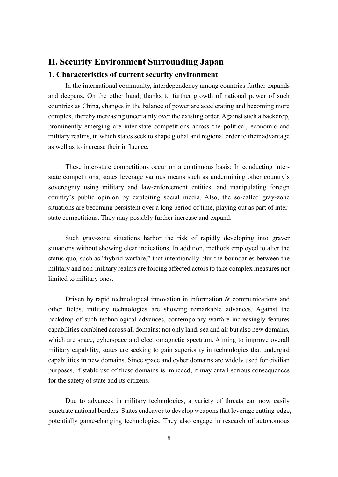# **II. Security Environment Surrounding Japan**

### **1. Characteristics of current security environment**

In the international community, interdependency among countries further expands and deepens. On the other hand, thanks to further growth of national power of such countries as China, changes in the balance of power are accelerating and becoming more complex, thereby increasing uncertainty over the existing order. Against such a backdrop, prominently emerging are inter-state competitions across the political, economic and military realms, in which states seek to shape global and regional order to their advantage as well as to increase their influence.

These inter-state competitions occur on a continuous basis: In conducting interstate competitions, states leverage various means such as undermining other country's sovereignty using military and law-enforcement entities, and manipulating foreign country's public opinion by exploiting social media. Also, the so-called gray-zone situations are becoming persistent over a long period of time, playing out as part of interstate competitions. They may possibly further increase and expand.

Such gray-zone situations harbor the risk of rapidly developing into graver situations without showing clear indications. In addition, methods employed to alter the status quo, such as "hybrid warfare," that intentionally blur the boundaries between the military and non-military realms are forcing affected actors to take complex measures not limited to military ones.

Driven by rapid technological innovation in information  $\&$  communications and other fields, military technologies are showing remarkable advances. Against the backdrop of such technological advances, contemporary warfare increasingly features capabilities combined across all domains: not only land, sea and air but also new domains, which are space, cyberspace and electromagnetic spectrum. Aiming to improve overall military capability, states are seeking to gain superiority in technologies that undergird capabilities in new domains. Since space and cyber domains are widely used for civilian purposes, if stable use of these domains is impeded, it may entail serious consequences for the safety of state and its citizens.

Due to advances in military technologies, a variety of threats can now easily penetrate national borders. States endeavor to develop weaponsthat leverage cutting-edge, potentially game-changing technologies. They also engage in research of autonomous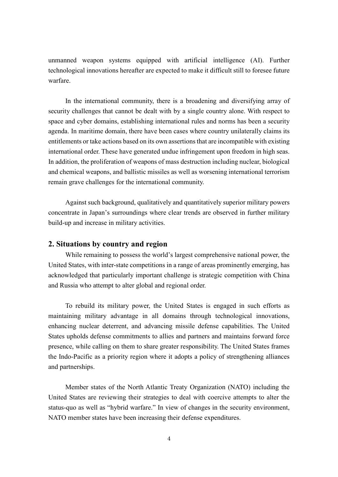unmanned weapon systems equipped with artificial intelligence (AI). Further technological innovations hereafter are expected to make it difficult still to foresee future warfare.

In the international community, there is a broadening and diversifying array of security challenges that cannot be dealt with by a single country alone. With respect to space and cyber domains, establishing international rules and norms has been a security agenda. In maritime domain, there have been cases where country unilaterally claims its entitlements or take actions based on its own assertions that are incompatible with existing international order. These have generated undue infringement upon freedom in high seas. In addition, the proliferation of weapons of mass destruction including nuclear, biological and chemical weapons, and ballistic missiles as well as worsening international terrorism remain grave challenges for the international community.

Against such background, qualitatively and quantitatively superior military powers concentrate in Japan's surroundings where clear trends are observed in further military build-up and increase in military activities.

#### **2. Situations by country and region**

While remaining to possess the world's largest comprehensive national power, the United States, with inter-state competitions in a range of areas prominently emerging, has acknowledged that particularly important challenge is strategic competition with China and Russia who attempt to alter global and regional order.

To rebuild its military power, the United States is engaged in such efforts as maintaining military advantage in all domains through technological innovations, enhancing nuclear deterrent, and advancing missile defense capabilities. The United States upholds defense commitments to allies and partners and maintains forward force presence, while calling on them to share greater responsibility. The United States frames the Indo-Pacific as a priority region where it adopts a policy of strengthening alliances and partnerships.

Member states of the North Atlantic Treaty Organization (NATO) including the United States are reviewing their strategies to deal with coercive attempts to alter the status-quo as well as "hybrid warfare." In view of changes in the security environment, NATO member states have been increasing their defense expenditures.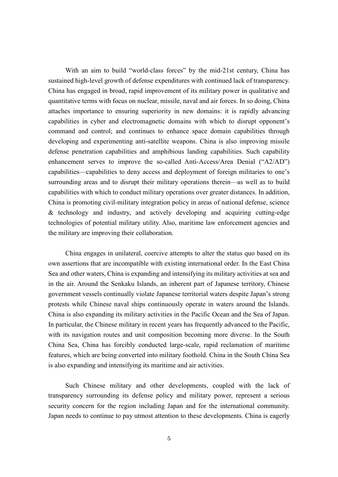With an aim to build "world-class forces" by the mid-21st century, China has sustained high-level growth of defense expenditures with continued lack of transparency. China has engaged in broad, rapid improvement of its military power in qualitative and quantitative terms with focus on nuclear, missile, naval and air forces. In so doing, China attaches importance to ensuring superiority in new domains: it is rapidly advancing capabilities in cyber and electromagnetic domains with which to disrupt opponent's command and control; and continues to enhance space domain capabilities through developing and experimenting anti-satellite weapons. China is also improving missile defense penetration capabilities and amphibious landing capabilities. Such capability enhancement serves to improve the so-called Anti-Access/Area Denial ("A2/AD") capabilities—capabilities to deny access and deployment of foreign militaries to one's surrounding areas and to disrupt their military operations therein—as well as to build capabilities with which to conduct military operations over greater distances. In addition, China is promoting civil-military integration policy in areas of national defense, science & technology and industry, and actively developing and acquiring cutting-edge technologies of potential military utility. Also, maritime law enforcement agencies and the military are improving their collaboration.

China engages in unilateral, coercive attempts to alter the status quo based on its own assertions that are incompatible with existing international order. In the East China Sea and other waters, China is expanding and intensifying its military activities at sea and in the air. Around the Senkaku Islands, an inherent part of Japanese territory, Chinese government vessels continually violate Japanese territorial waters despite Japan's strong protests while Chinese naval ships continuously operate in waters around the Islands. China is also expanding its military activities in the Pacific Ocean and the Sea of Japan. In particular, the Chinese military in recent years has frequently advanced to the Pacific, with its navigation routes and unit composition becoming more diverse. In the South China Sea, China has forcibly conducted large-scale, rapid reclamation of maritime features, which are being converted into military foothold. China in the South China Sea is also expanding and intensifying its maritime and air activities.

Such Chinese military and other developments, coupled with the lack of transparency surrounding its defense policy and military power, represent a serious security concern for the region including Japan and for the international community. Japan needs to continue to pay utmost attention to these developments. China is eagerly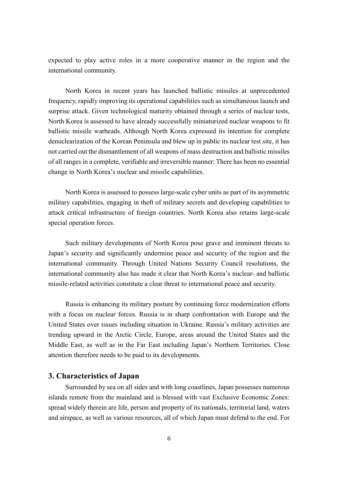expected to play active roles in a more cooperative manner in the region and the international community.

North Korea in recent years has launched ballistic missiles at unprecedented frequency, rapidly improving its operational capabilities such as simultaneous launch and surprise attack. Given technological maturity obtained through a series of nuclear tests, North Korea is assessed to have already successfully miniaturized nuclear weapons to fit ballistic missile warheads. Although North Korea expressed its intention for complete denuclearization of the Korean Peninsula and blew up in public its nuclear test site, it has not carried out the dismantlement of all weapons of mass destruction and ballistic missiles of all ranges in a complete, verifiable and irreversible manner: There has been no essential change in North Korea's nuclear and missile capabilities.

North Korea is assessed to possess large-scale cyber units as part of its asymmetric military capabilities, engaging in theft of military secrets and developing capabilities to attack critical infrastructure of foreign countries. North Korea also retains large-scale special operation forces.

Such military developments of North Korea pose grave and imminent threats to Japan's security and significantly undermine peace and security of the region and the international community. Through United Nations Security Council resolutions, the international community also has made it clear that North Korea's nuclear- and ballistic missile-related activities constitute a clear threat to international peace and security.

Russia is enhancing its military posture by continuing force modernization efforts with a focus on nuclear forces. Russia is in sharp confrontation with Europe and the United States over issues including situation in Ukraine. Russia's military activities are trending upward in the Arctic Circle, Europe, areas around the United States and the Middle East, as well as in the Far East including Japan's Northern Territories. Close attention therefore needs to be paid to its developments.

### **3. Characteristics of Japan**

Surrounded by sea on all sides and with long coastlines, Japan possesses numerous islands remote from the mainland and is blessed with vast Exclusive Economic Zones: spread widely therein are life, person and property of its nationals, territorial land, waters and airspace, as well as various resources, all of which Japan must defend to the end. For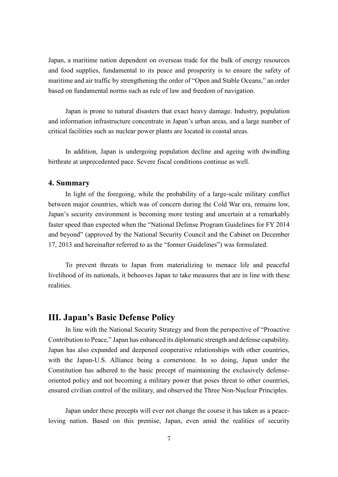Japan, a maritime nation dependent on overseas trade for the bulk of energy resources and food supplies, fundamental to its peace and prosperity is to ensure the safety of maritime and air traffic by strengthening the order of "Open and Stable Oceans," an order based on fundamental norms such as rule of law and freedom of navigation.

Japan is prone to natural disasters that exact heavy damage. Industry, population and information infrastructure concentrate in Japan's urban areas, and a large number of critical facilities such as nuclear power plants are located in coastal areas.

In addition, Japan is undergoing population decline and ageing with dwindling birthrate at unprecedented pace. Severe fiscal conditions continue as well.

### **4. Summary**

In light of the foregoing, while the probability of a large-scale military conflict between major countries, which was of concern during the Cold War era, remains low, Japan's security environment is becoming more testing and uncertain at a remarkably faster speed than expected when the "National Defense Program Guidelines for FY 2014 and beyond" (approved by the National Security Council and the Cabinet on December 17, 2013 and hereinafter referred to as the "former Guidelines") was formulated.

To prevent threats to Japan from materializing to menace life and peaceful livelihood of its nationals, it behooves Japan to take measures that are in line with these realities.

## **III. Japan's Basic Defense Policy**

In line with the National Security Strategy and from the perspective of "Proactive Contribution to Peace," Japan has enhanced its diplomatic strength and defense capability. Japan has also expanded and deepened cooperative relationships with other countries, with the Japan-U.S. Alliance being a cornerstone. In so doing, Japan under the Constitution has adhered to the basic precept of maintaining the exclusively defenseoriented policy and not becoming a military power that poses threat to other countries, ensured civilian control of the military, and observed the Three Non-Nuclear Principles.

Japan under these precepts will ever not change the course it has taken as a peaceloving nation. Based on this premise, Japan, even amid the realities of security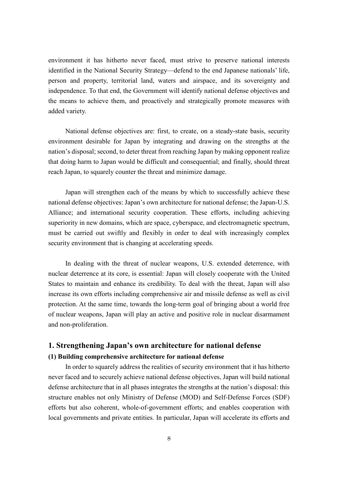environment it has hitherto never faced, must strive to preserve national interests identified in the National Security Strategy—defend to the end Japanese nationals' life, person and property, territorial land, waters and airspace, and its sovereignty and independence. To that end, the Government will identify national defense objectives and the means to achieve them, and proactively and strategically promote measures with added variety.

National defense objectives are: first, to create, on a steady-state basis, security environment desirable for Japan by integrating and drawing on the strengths at the nation's disposal; second, to deter threat from reaching Japan by making opponent realize that doing harm to Japan would be difficult and consequential; and finally, should threat reach Japan, to squarely counter the threat and minimize damage.

Japan will strengthen each of the means by which to successfully achieve these national defense objectives: Japan's own architecture for national defense; the Japan-U.S. Alliance; and international security cooperation. These efforts, including achieving superiority in new domains, which are space, cyberspace, and electromagnetic spectrum, must be carried out swiftly and flexibly in order to deal with increasingly complex security environment that is changing at accelerating speeds.

In dealing with the threat of nuclear weapons, U.S. extended deterrence, with nuclear deterrence at its core, is essential: Japan will closely cooperate with the United States to maintain and enhance its credibility. To deal with the threat, Japan will also increase its own efforts including comprehensive air and missile defense as well as civil protection. At the same time, towards the long-term goal of bringing about a world free of nuclear weapons, Japan will play an active and positive role in nuclear disarmament and non-proliferation.

### **1. Strengthening Japan's own architecture for national defense (1) Building comprehensive architecture for national defense**

In order to squarely address the realities of security environment that it has hitherto never faced and to securely achieve national defense objectives, Japan will build national defense architecture that in all phases integrates the strengths at the nation's disposal: this structure enables not only Ministry of Defense (MOD) and Self-Defense Forces (SDF) efforts but also coherent, whole-of-government efforts; and enables cooperation with local governments and private entities. In particular, Japan will accelerate its efforts and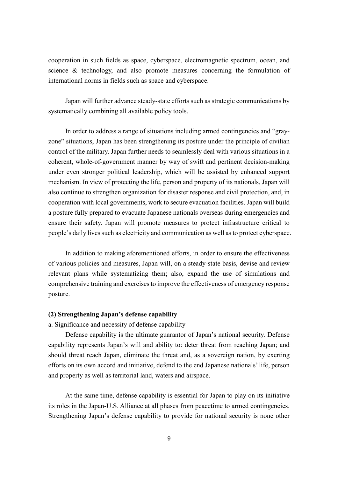cooperation in such fields as space, cyberspace, electromagnetic spectrum, ocean, and science & technology, and also promote measures concerning the formulation of international norms in fields such as space and cyberspace.

Japan will further advance steady-state efforts such as strategic communications by systematically combining all available policy tools.

In order to address a range of situations including armed contingencies and "grayzone" situations, Japan has been strengthening its posture under the principle of civilian control of the military. Japan further needs to seamlessly deal with various situations in a coherent, whole-of-government manner by way of swift and pertinent decision-making under even stronger political leadership, which will be assisted by enhanced support mechanism. In view of protecting the life, person and property of its nationals, Japan will also continue to strengthen organization for disaster response and civil protection, and, in cooperation with local governments, work to secure evacuation facilities. Japan will build a posture fully prepared to evacuate Japanese nationals overseas during emergencies and ensure their safety. Japan will promote measures to protect infrastructure critical to people's daily lives such as electricity and communication as well as to protect cyberspace.

In addition to making aforementioned efforts, in order to ensure the effectiveness of various policies and measures, Japan will, on a steady-state basis, devise and review relevant plans while systematizing them; also, expand the use of simulations and comprehensive training and exercises to improve the effectiveness of emergency response posture.

#### **(2) Strengthening Japan's defense capability**

a. Significance and necessity of defense capability

Defense capability is the ultimate guarantor of Japan's national security. Defense capability represents Japan's will and ability to: deter threat from reaching Japan; and should threat reach Japan, eliminate the threat and, as a sovereign nation, by exerting efforts on its own accord and initiative, defend to the end Japanese nationals' life, person and property as well as territorial land, waters and airspace.

At the same time, defense capability is essential for Japan to play on its initiative its roles in the Japan-U.S. Alliance at all phases from peacetime to armed contingencies. Strengthening Japan's defense capability to provide for national security is none other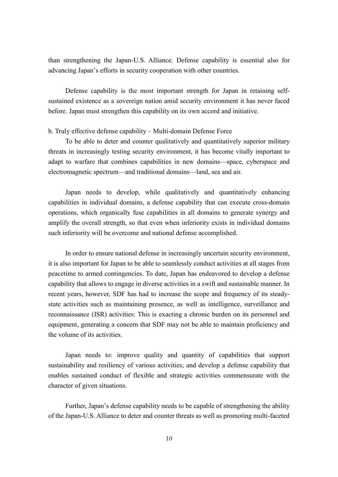than strengthening the Japan-U.S. Alliance. Defense capability is essential also for advancing Japan's efforts in security cooperation with other countries.

Defense capability is the most important strength for Japan in retaining selfsustained existence as a sovereign nation amid security environment it has never faced before. Japan must strengthen this capability on its own accord and initiative.

#### b. Truly effective defense capability – Multi-domain Defense Force

To be able to deter and counter qualitatively and quantitatively superior military threats in increasingly testing security environment, it has become vitally important to adapt to warfare that combines capabilities in new domains—space, cyberspace and electromagnetic spectrum—and traditional domains—land, sea and air.

Japan needs to develop, while qualitatively and quantitatively enhancing capabilities in individual domains, a defense capability that can execute cross-domain operations, which organically fuse capabilities in all domains to generate synergy and amplify the overall strength, so that even when inferiority exists in individual domains such inferiority will be overcome and national defense accomplished.

In order to ensure national defense in increasingly uncertain security environment, it is also important for Japan to be able to seamlessly conduct activities at all stages from peacetime to armed contingencies. To date, Japan has endeavored to develop a defense capability that allows to engage in diverse activities in a swift and sustainable manner. In recent years, however, SDF has had to increase the scope and frequency of its steadystate activities such as maintaining presence, as well as intelligence, surveillance and reconnaissance (ISR) activities: This is exacting a chronic burden on its personnel and equipment, generating a concern that SDF may not be able to maintain proficiency and the volume of its activities.

Japan needs to: improve quality and quantity of capabilities that support sustainability and resiliency of various activities; and develop a defense capability that enables sustained conduct of flexible and strategic activities commensurate with the character of given situations.

Further, Japan's defense capability needs to be capable of strengthening the ability of the Japan-U.S. Alliance to deter and counter threats as well as promoting multi-faceted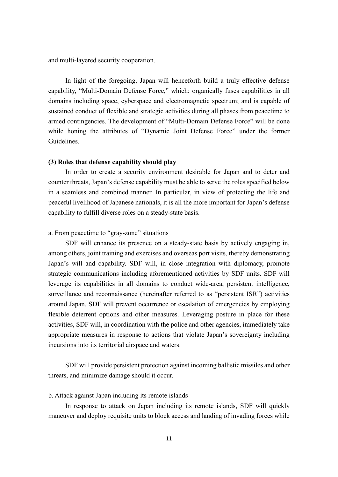and multi-layered security cooperation.

In light of the foregoing, Japan will henceforth build a truly effective defense capability, "Multi-Domain Defense Force," which: organically fuses capabilities in all domains including space, cyberspace and electromagnetic spectrum; and is capable of sustained conduct of flexible and strategic activities during all phases from peacetime to armed contingencies. The development of "Multi-Domain Defense Force" will be done while honing the attributes of "Dynamic Joint Defense Force" under the former Guidelines.

#### **(3) Roles that defense capability should play**

In order to create a security environment desirable for Japan and to deter and counter threats, Japan's defense capability must be able to serve the roles specified below in a seamless and combined manner. In particular, in view of protecting the life and peaceful livelihood of Japanese nationals, it is all the more important for Japan's defense capability to fulfill diverse roles on a steady-state basis.

### a. From peacetime to "gray-zone" situations

SDF will enhance its presence on a steady-state basis by actively engaging in, among others, joint training and exercises and overseas port visits, thereby demonstrating Japan's will and capability. SDF will, in close integration with diplomacy, promote strategic communications including aforementioned activities by SDF units. SDF will leverage its capabilities in all domains to conduct wide-area, persistent intelligence, surveillance and reconnaissance (hereinafter referred to as "persistent ISR") activities around Japan. SDF will prevent occurrence or escalation of emergencies by employing flexible deterrent options and other measures. Leveraging posture in place for these activities, SDF will, in coordination with the police and other agencies, immediately take appropriate measures in response to actions that violate Japan's sovereignty including incursions into its territorial airspace and waters.

SDF will provide persistent protection against incoming ballistic missiles and other threats, and minimize damage should it occur.

#### b. Attack against Japan including its remote islands

In response to attack on Japan including its remote islands, SDF will quickly maneuver and deploy requisite units to block access and landing of invading forces while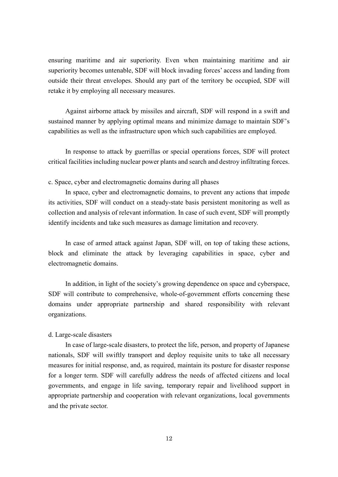ensuring maritime and air superiority. Even when maintaining maritime and air superiority becomes untenable, SDF will block invading forces' access and landing from outside their threat envelopes. Should any part of the territory be occupied, SDF will retake it by employing all necessary measures.

Against airborne attack by missiles and aircraft, SDF will respond in a swift and sustained manner by applying optimal means and minimize damage to maintain SDF's capabilities as well as the infrastructure upon which such capabilities are employed.

In response to attack by guerrillas or special operations forces, SDF will protect critical facilities including nuclear power plants and search and destroy infiltrating forces.

#### c. Space, cyber and electromagnetic domains during all phases

In space, cyber and electromagnetic domains, to prevent any actions that impede its activities, SDF will conduct on a steady-state basis persistent monitoring as well as collection and analysis of relevant information. In case of such event, SDF will promptly identify incidents and take such measures as damage limitation and recovery.

In case of armed attack against Japan, SDF will, on top of taking these actions, block and eliminate the attack by leveraging capabilities in space, cyber and electromagnetic domains.

In addition, in light of the society's growing dependence on space and cyberspace, SDF will contribute to comprehensive, whole-of-government efforts concerning these domains under appropriate partnership and shared responsibility with relevant organizations.

#### d. Large-scale disasters

In case of large-scale disasters, to protect the life, person, and property of Japanese nationals, SDF will swiftly transport and deploy requisite units to take all necessary measures for initial response, and, as required, maintain its posture for disaster response for a longer term. SDF will carefully address the needs of affected citizens and local governments, and engage in life saving, temporary repair and livelihood support in appropriate partnership and cooperation with relevant organizations, local governments and the private sector.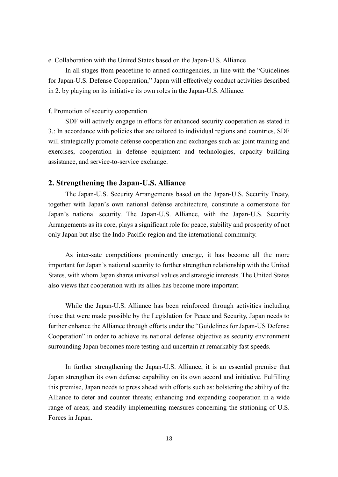e. Collaboration with the United States based on the Japan-U.S. Alliance

In all stages from peacetime to armed contingencies, in line with the "Guidelines for Japan-U.S. Defense Cooperation," Japan will effectively conduct activities described in 2. by playing on its initiative its own roles in the Japan-U.S. Alliance.

#### f. Promotion of security cooperation

SDF will actively engage in efforts for enhanced security cooperation as stated in 3.: In accordance with policies that are tailored to individual regions and countries, SDF will strategically promote defense cooperation and exchanges such as: joint training and exercises, cooperation in defense equipment and technologies, capacity building assistance, and service-to-service exchange.

### **2. Strengthening the Japan-U.S. Alliance**

The Japan-U.S. Security Arrangements based on the Japan-U.S. Security Treaty, together with Japan's own national defense architecture, constitute a cornerstone for Japan's national security. The Japan-U.S. Alliance, with the Japan-U.S. Security Arrangements as its core, plays a significant role for peace, stability and prosperity of not only Japan but also the Indo-Pacific region and the international community.

As inter-sate competitions prominently emerge, it has become all the more important for Japan's national security to further strengthen relationship with the United States, with whom Japan shares universal values and strategic interests. The United States also views that cooperation with its allies has become more important.

While the Japan-U.S. Alliance has been reinforced through activities including those that were made possible by the Legislation for Peace and Security, Japan needs to further enhance the Alliance through efforts under the "Guidelines for Japan-US Defense Cooperation" in order to achieve its national defense objective as security environment surrounding Japan becomes more testing and uncertain at remarkably fast speeds.

In further strengthening the Japan-U.S. Alliance, it is an essential premise that Japan strengthen its own defense capability on its own accord and initiative. Fulfilling this premise, Japan needs to press ahead with efforts such as: bolstering the ability of the Alliance to deter and counter threats; enhancing and expanding cooperation in a wide range of areas; and steadily implementing measures concerning the stationing of U.S. Forces in Japan.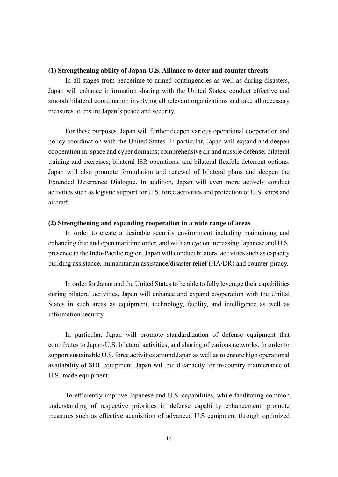#### **(1) Strengthening ability of Japan-U.S. Alliance to deter and counter threats**

In all stages from peacetime to armed contingencies as well as during disasters, Japan will enhance information sharing with the United States, conduct effective and smooth bilateral coordination involving all relevant organizations and take all necessary measures to ensure Japan's peace and security.

For these purposes, Japan will further deepen various operational cooperation and policy coordination with the United States. In particular, Japan will expand and deepen cooperation in: space and cyber domains; comprehensive air and missile defense; bilateral training and exercises; bilateral ISR operations; and bilateral flexible deterrent options. Japan will also promote formulation and renewal of bilateral plans and deepen the Extended Deterrence Dialogue. In addition, Japan will even more actively conduct activities such as logistic support for U.S. force activities and protection of U.S. ships and aircraft.

#### **(2) Strengthening and expanding cooperation in a wide range of areas**

In order to create a desirable security environment including maintaining and enhancing free and open maritime order, and with an eye on increasing Japanese and U.S. presence in the Indo-Pacific region, Japan will conduct bilateral activities such as capacity building assistance, humanitarian assistance/disaster relief (HA/DR) and counter-piracy.

In order for Japan and the United States to be able to fully leverage their capabilities during bilateral activities, Japan will enhance and expand cooperation with the United States in such areas as equipment, technology, facility, and intelligence as well as information security.

In particular, Japan will promote standardization of defense equipment that contributes to Japan-U.S. bilateral activities, and sharing of various networks. In order to support sustainable U.S. force activities around Japan as well as to ensure high operational availability of SDF equipment, Japan will build capacity for in-country maintenance of U.S.-made equipment.

To efficiently improve Japanese and U.S. capabilities, while facilitating common understanding of respective priorities in defense capability enhancement, promote measures such as effective acquisition of advanced U.S equipment through optimized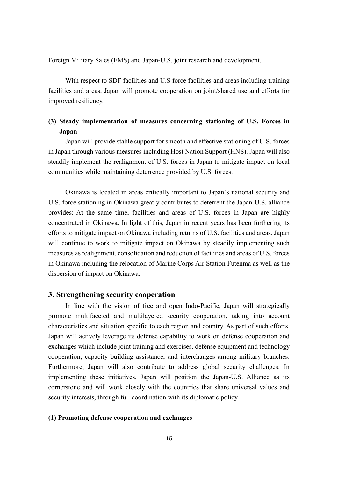Foreign Military Sales (FMS) and Japan-U.S. joint research and development.

With respect to SDF facilities and U.S force facilities and areas including training facilities and areas, Japan will promote cooperation on joint/shared use and efforts for improved resiliency.

# **(3) Steady implementation of measures concerning stationing of U.S. Forces in Japan**

Japan will provide stable support for smooth and effective stationing of U.S. forces in Japan through various measures including Host Nation Support (HNS). Japan will also steadily implement the realignment of U.S. forces in Japan to mitigate impact on local communities while maintaining deterrence provided by U.S. forces.

Okinawa is located in areas critically important to Japan's national security and U.S. force stationing in Okinawa greatly contributes to deterrent the Japan-U.S. alliance provides: At the same time, facilities and areas of U.S. forces in Japan are highly concentrated in Okinawa. In light of this, Japan in recent years has been furthering its efforts to mitigate impact on Okinawa including returns of U.S. facilities and areas. Japan will continue to work to mitigate impact on Okinawa by steadily implementing such measures as realignment, consolidation and reduction of facilities and areas of U.S. forces in Okinawa including the relocation of Marine Corps Air Station Futenma as well as the dispersion of impact on Okinawa.

#### **3. Strengthening security cooperation**

In line with the vision of free and open Indo-Pacific, Japan will strategically promote multifaceted and multilayered security cooperation, taking into account characteristics and situation specific to each region and country. As part of such efforts, Japan will actively leverage its defense capability to work on defense cooperation and exchanges which include joint training and exercises, defense equipment and technology cooperation, capacity building assistance, and interchanges among military branches. Furthermore, Japan will also contribute to address global security challenges. In implementing these initiatives, Japan will position the Japan-U.S. Alliance as its cornerstone and will work closely with the countries that share universal values and security interests, through full coordination with its diplomatic policy.

#### **(1) Promoting defense cooperation and exchanges**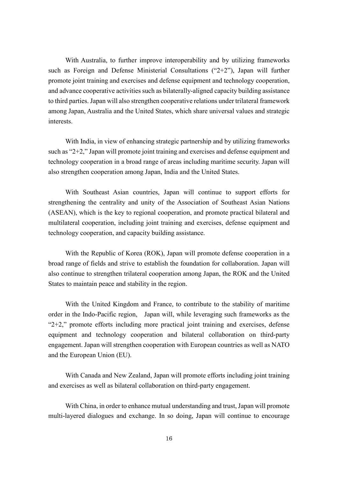With Australia, to further improve interoperability and by utilizing frameworks such as Foreign and Defense Ministerial Consultations ("2+2"), Japan will further promote joint training and exercises and defense equipment and technology cooperation, and advance cooperative activities such as bilaterally-aligned capacity building assistance to third parties. Japan will also strengthen cooperative relations under trilateral framework among Japan, Australia and the United States, which share universal values and strategic interests.

With India, in view of enhancing strategic partnership and by utilizing frameworks such as "2+2," Japan will promote joint training and exercises and defense equipment and technology cooperation in a broad range of areas including maritime security. Japan will also strengthen cooperation among Japan, India and the United States.

With Southeast Asian countries, Japan will continue to support efforts for strengthening the centrality and unity of the Association of Southeast Asian Nations (ASEAN), which is the key to regional cooperation, and promote practical bilateral and multilateral cooperation, including joint training and exercises, defense equipment and technology cooperation, and capacity building assistance.

With the Republic of Korea (ROK), Japan will promote defense cooperation in a broad range of fields and strive to establish the foundation for collaboration. Japan will also continue to strengthen trilateral cooperation among Japan, the ROK and the United States to maintain peace and stability in the region.

With the United Kingdom and France, to contribute to the stability of maritime order in the Indo-Pacific region, Japan will, while leveraging such frameworks as the " $2+2$ ," promote efforts including more practical joint training and exercises, defense equipment and technology cooperation and bilateral collaboration on third-party engagement. Japan will strengthen cooperation with European countries as well as NATO and the European Union (EU).

With Canada and New Zealand, Japan will promote efforts including joint training and exercises as well as bilateral collaboration on third-party engagement.

With China, in order to enhance mutual understanding and trust, Japan will promote multi-layered dialogues and exchange. In so doing, Japan will continue to encourage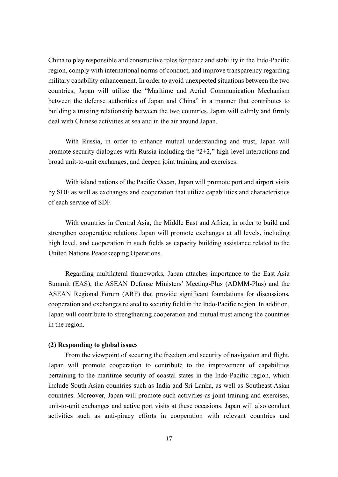China to play responsible and constructive roles for peace and stability in the Indo-Pacific region, comply with international norms of conduct, and improve transparency regarding military capability enhancement. In order to avoid unexpected situations between the two countries, Japan will utilize the "Maritime and Aerial Communication Mechanism between the defense authorities of Japan and China" in a manner that contributes to building a trusting relationship between the two countries. Japan will calmly and firmly deal with Chinese activities at sea and in the air around Japan.

With Russia, in order to enhance mutual understanding and trust, Japan will promote security dialogues with Russia including the "2+2," high-level interactions and broad unit-to-unit exchanges, and deepen joint training and exercises.

With island nations of the Pacific Ocean, Japan will promote port and airport visits by SDF as well as exchanges and cooperation that utilize capabilities and characteristics of each service of SDF.

With countries in Central Asia, the Middle East and Africa, in order to build and strengthen cooperative relations Japan will promote exchanges at all levels, including high level, and cooperation in such fields as capacity building assistance related to the United Nations Peacekeeping Operations.

Regarding multilateral frameworks, Japan attaches importance to the East Asia Summit (EAS), the ASEAN Defense Ministers' Meeting-Plus (ADMM-Plus) and the ASEAN Regional Forum (ARF) that provide significant foundations for discussions, cooperation and exchanges related to security field in the Indo-Pacific region. In addition, Japan will contribute to strengthening cooperation and mutual trust among the countries in the region.

#### **(2) Responding to global issues**

From the viewpoint of securing the freedom and security of navigation and flight, Japan will promote cooperation to contribute to the improvement of capabilities pertaining to the maritime security of coastal states in the Indo-Pacific region, which include South Asian countries such as India and Sri Lanka, as well as Southeast Asian countries. Moreover, Japan will promote such activities as joint training and exercises, unit-to-unit exchanges and active port visits at these occasions. Japan will also conduct activities such as anti-piracy efforts in cooperation with relevant countries and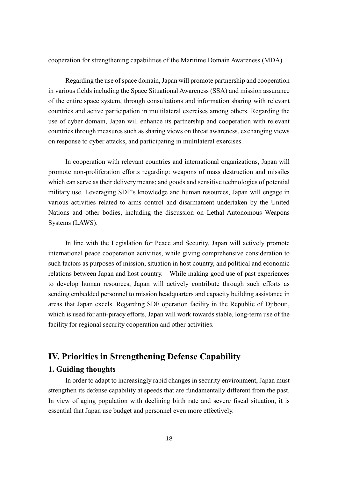cooperation for strengthening capabilities of the Maritime Domain Awareness (MDA).

Regarding the use of space domain, Japan will promote partnership and cooperation in various fields including the Space Situational Awareness (SSA) and mission assurance of the entire space system, through consultations and information sharing with relevant countries and active participation in multilateral exercises among others. Regarding the use of cyber domain, Japan will enhance its partnership and cooperation with relevant countries through measures such as sharing views on threat awareness, exchanging views on response to cyber attacks, and participating in multilateral exercises.

In cooperation with relevant countries and international organizations, Japan will promote non-proliferation efforts regarding: weapons of mass destruction and missiles which can serve as their delivery means; and goods and sensitive technologies of potential military use. Leveraging SDF's knowledge and human resources, Japan will engage in various activities related to arms control and disarmament undertaken by the United Nations and other bodies, including the discussion on Lethal Autonomous Weapons Systems (LAWS).

In line with the Legislation for Peace and Security, Japan will actively promote international peace cooperation activities, while giving comprehensive consideration to such factors as purposes of mission, situation in host country, and political and economic relations between Japan and host country. While making good use of past experiences to develop human resources, Japan will actively contribute through such efforts as sending embedded personnel to mission headquarters and capacity building assistance in areas that Japan excels. Regarding SDF operation facility in the Republic of Djibouti, which is used for anti-piracy efforts, Japan will work towards stable, long-term use of the facility for regional security cooperation and other activities.

# **IV. Priorities in Strengthening Defense Capability**

### **1. Guiding thoughts**

In order to adapt to increasingly rapid changes in security environment, Japan must strengthen its defense capability at speeds that are fundamentally different from the past. In view of aging population with declining birth rate and severe fiscal situation, it is essential that Japan use budget and personnel even more effectively.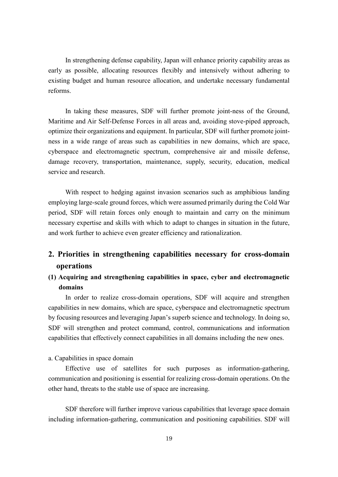In strengthening defense capability, Japan will enhance priority capability areas as early as possible, allocating resources flexibly and intensively without adhering to existing budget and human resource allocation, and undertake necessary fundamental reforms.

In taking these measures, SDF will further promote joint-ness of the Ground, Maritime and Air Self-Defense Forces in all areas and, avoiding stove-piped approach, optimize their organizations and equipment. In particular, SDF will further promote jointness in a wide range of areas such as capabilities in new domains, which are space, cyberspace and electromagnetic spectrum, comprehensive air and missile defense, damage recovery, transportation, maintenance, supply, security, education, medical service and research.

With respect to hedging against invasion scenarios such as amphibious landing employing large-scale ground forces, which were assumed primarily during the Cold War period, SDF will retain forces only enough to maintain and carry on the minimum necessary expertise and skills with which to adapt to changes in situation in the future, and work further to achieve even greater efficiency and rationalization.

# **2. Priorities in strengthening capabilities necessary for cross-domain operations**

# **(1) Acquiring and strengthening capabilities in space, cyber and electromagnetic domains**

In order to realize cross-domain operations, SDF will acquire and strengthen capabilities in new domains, which are space, cyberspace and electromagnetic spectrum by focusing resources and leveraging Japan's superb science and technology. In doing so, SDF will strengthen and protect command, control, communications and information capabilities that effectively connect capabilities in all domains including the new ones.

#### a. Capabilities in space domain

Effective use of satellites for such purposes as information-gathering, communication and positioning is essential for realizing cross-domain operations. On the other hand, threats to the stable use of space are increasing.

SDF therefore will further improve various capabilities that leverage space domain including information-gathering, communication and positioning capabilities. SDF will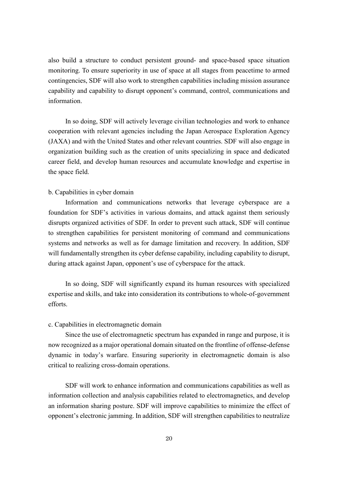also build a structure to conduct persistent ground- and space-based space situation monitoring. To ensure superiority in use of space at all stages from peacetime to armed contingencies, SDF will also work to strengthen capabilities including mission assurance capability and capability to disrupt opponent's command, control, communications and information.

In so doing, SDF will actively leverage civilian technologies and work to enhance cooperation with relevant agencies including the Japan Aerospace Exploration Agency (JAXA) and with the United States and other relevant countries. SDF will also engage in organization building such as the creation of units specializing in space and dedicated career field, and develop human resources and accumulate knowledge and expertise in the space field.

#### b. Capabilities in cyber domain

Information and communications networks that leverage cyberspace are a foundation for SDF's activities in various domains, and attack against them seriously disrupts organized activities of SDF. In order to prevent such attack, SDF will continue to strengthen capabilities for persistent monitoring of command and communications systems and networks as well as for damage limitation and recovery. In addition, SDF will fundamentally strengthen its cyber defense capability, including capability to disrupt, during attack against Japan, opponent's use of cyberspace for the attack.

In so doing, SDF will significantly expand its human resources with specialized expertise and skills, and take into consideration its contributions to whole-of-government efforts.

#### c. Capabilities in electromagnetic domain

Since the use of electromagnetic spectrum has expanded in range and purpose, it is now recognized as a major operational domain situated on the frontline of offense-defense dynamic in today's warfare. Ensuring superiority in electromagnetic domain is also critical to realizing cross-domain operations.

SDF will work to enhance information and communications capabilities as well as information collection and analysis capabilities related to electromagnetics, and develop an information sharing posture. SDF will improve capabilities to minimize the effect of opponent's electronic jamming. In addition, SDF will strengthen capabilities to neutralize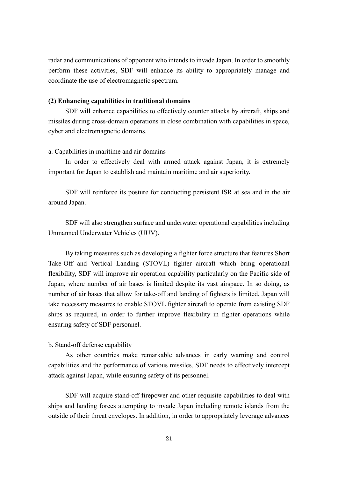radar and communications of opponent who intends to invade Japan. In order to smoothly perform these activities, SDF will enhance its ability to appropriately manage and coordinate the use of electromagnetic spectrum.

#### **(2) Enhancing capabilities in traditional domains**

SDF will enhance capabilities to effectively counter attacks by aircraft, ships and missiles during cross-domain operations in close combination with capabilities in space, cyber and electromagnetic domains.

#### a. Capabilities in maritime and air domains

In order to effectively deal with armed attack against Japan, it is extremely important for Japan to establish and maintain maritime and air superiority.

SDF will reinforce its posture for conducting persistent ISR at sea and in the air around Japan.

SDF will also strengthen surface and underwater operational capabilities including Unmanned Underwater Vehicles (UUV).

By taking measures such as developing a fighter force structure that features Short Take-Off and Vertical Landing (STOVL) fighter aircraft which bring operational flexibility, SDF will improve air operation capability particularly on the Pacific side of Japan, where number of air bases is limited despite its vast airspace. In so doing, as number of air bases that allow for take-off and landing of fighters is limited, Japan will take necessary measures to enable STOVL fighter aircraft to operate from existing SDF ships as required, in order to further improve flexibility in fighter operations while ensuring safety of SDF personnel.

#### b. Stand-off defense capability

As other countries make remarkable advances in early warning and control capabilities and the performance of various missiles, SDF needs to effectively intercept attack against Japan, while ensuring safety of its personnel.

SDF will acquire stand-off firepower and other requisite capabilities to deal with ships and landing forces attempting to invade Japan including remote islands from the outside of their threat envelopes. In addition, in order to appropriately leverage advances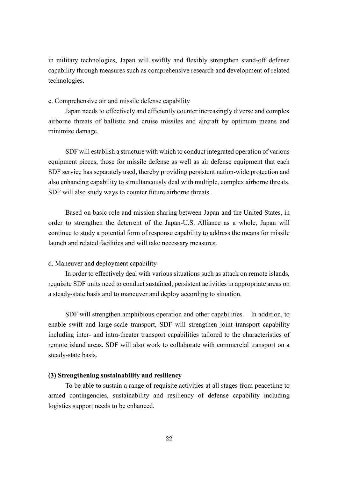in military technologies, Japan will swiftly and flexibly strengthen stand-off defense capability through measures such as comprehensive research and development of related technologies.

c. Comprehensive air and missile defense capability

Japan needs to effectively and efficiently counter increasingly diverse and complex airborne threats of ballistic and cruise missiles and aircraft by optimum means and minimize damage.

SDF will establish a structure with which to conduct integrated operation of various equipment pieces, those for missile defense as well as air defense equipment that each SDF service has separately used, thereby providing persistent nation-wide protection and also enhancing capability to simultaneously deal with multiple, complex airborne threats. SDF will also study ways to counter future airborne threats.

Based on basic role and mission sharing between Japan and the United States, in order to strengthen the deterrent of the Japan-U.S. Alliance as a whole, Japan will continue to study a potential form of response capability to address the means for missile launch and related facilities and will take necessary measures.

#### d. Maneuver and deployment capability

In order to effectively deal with various situations such as attack on remote islands, requisite SDF units need to conduct sustained, persistent activities in appropriate areas on a steady-state basis and to maneuver and deploy according to situation.

SDF will strengthen amphibious operation and other capabilities. In addition, to enable swift and large-scale transport, SDF will strengthen joint transport capability including inter- and intra-theater transport capabilities tailored to the characteristics of remote island areas. SDF will also work to collaborate with commercial transport on a steady-state basis.

#### **(3) Strengthening sustainability and resiliency**

To be able to sustain a range of requisite activities at all stages from peacetime to armed contingencies, sustainability and resiliency of defense capability including logistics support needs to be enhanced.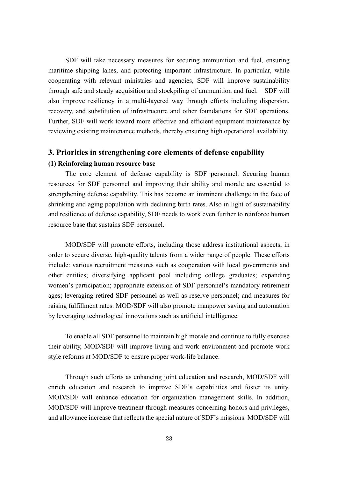SDF will take necessary measures for securing ammunition and fuel, ensuring maritime shipping lanes, and protecting important infrastructure. In particular, while cooperating with relevant ministries and agencies, SDF will improve sustainability through safe and steady acquisition and stockpiling of ammunition and fuel. SDF will also improve resiliency in a multi-layered way through efforts including dispersion, recovery, and substitution of infrastructure and other foundations for SDF operations. Further, SDF will work toward more effective and efficient equipment maintenance by reviewing existing maintenance methods, thereby ensuring high operational availability.

#### **3. Priorities in strengthening core elements of defense capability**

#### **(1) Reinforcing human resource base**

The core element of defense capability is SDF personnel. Securing human resources for SDF personnel and improving their ability and morale are essential to strengthening defense capability. This has become an imminent challenge in the face of shrinking and aging population with declining birth rates. Also in light of sustainability and resilience of defense capability, SDF needs to work even further to reinforce human resource base that sustains SDF personnel.

MOD/SDF will promote efforts, including those address institutional aspects, in order to secure diverse, high-quality talents from a wider range of people. These efforts include: various recruitment measures such as cooperation with local governments and other entities; diversifying applicant pool including college graduates; expanding women's participation; appropriate extension of SDF personnel's mandatory retirement ages; leveraging retired SDF personnel as well as reserve personnel; and measures for raising fulfillment rates. MOD/SDF will also promote manpower saving and automation by leveraging technological innovations such as artificial intelligence.

To enable all SDF personnel to maintain high morale and continue to fully exercise their ability, MOD/SDF will improve living and work environment and promote work style reforms at MOD/SDF to ensure proper work-life balance.

Through such efforts as enhancing joint education and research, MOD/SDF will enrich education and research to improve SDF's capabilities and foster its unity. MOD/SDF will enhance education for organization management skills. In addition, MOD/SDF will improve treatment through measures concerning honors and privileges, and allowance increase that reflects the special nature of SDF's missions. MOD/SDF will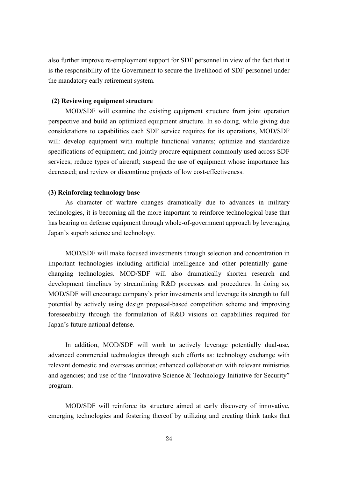also further improve re-employment support for SDF personnel in view of the fact that it is the responsibility of the Government to secure the livelihood of SDF personnel under the mandatory early retirement system.

#### **(2) Reviewing equipment structure**

MOD/SDF will examine the existing equipment structure from joint operation perspective and build an optimized equipment structure. In so doing, while giving due considerations to capabilities each SDF service requires for its operations, MOD/SDF will: develop equipment with multiple functional variants; optimize and standardize specifications of equipment; and jointly procure equipment commonly used across SDF services; reduce types of aircraft; suspend the use of equipment whose importance has decreased; and review or discontinue projects of low cost-effectiveness.

#### **(3) Reinforcing technology base**

As character of warfare changes dramatically due to advances in military technologies, it is becoming all the more important to reinforce technological base that has bearing on defense equipment through whole-of-government approach by leveraging Japan's superb science and technology.

MOD/SDF will make focused investments through selection and concentration in important technologies including artificial intelligence and other potentially gamechanging technologies. MOD/SDF will also dramatically shorten research and development timelines by streamlining R&D processes and procedures. In doing so, MOD/SDF will encourage company's prior investments and leverage its strength to full potential by actively using design proposal-based competition scheme and improving foreseeability through the formulation of R&D visions on capabilities required for Japan's future national defense.

In addition, MOD/SDF will work to actively leverage potentially dual-use, advanced commercial technologies through such efforts as: technology exchange with relevant domestic and overseas entities; enhanced collaboration with relevant ministries and agencies; and use of the "Innovative Science & Technology Initiative for Security" program.

MOD/SDF will reinforce its structure aimed at early discovery of innovative, emerging technologies and fostering thereof by utilizing and creating think tanks that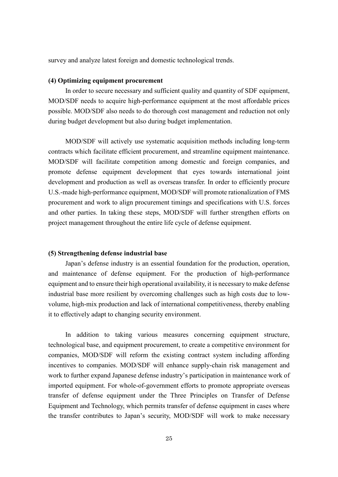survey and analyze latest foreign and domestic technological trends.

#### **(4) Optimizing equipment procurement**

In order to secure necessary and sufficient quality and quantity of SDF equipment, MOD/SDF needs to acquire high-performance equipment at the most affordable prices possible. MOD/SDF also needs to do thorough cost management and reduction not only during budget development but also during budget implementation.

MOD/SDF will actively use systematic acquisition methods including long-term contracts which facilitate efficient procurement, and streamline equipment maintenance. MOD/SDF will facilitate competition among domestic and foreign companies, and promote defense equipment development that eyes towards international joint development and production as well as overseas transfer. In order to efficiently procure U.S.-made high-performance equipment, MOD/SDF will promote rationalization of FMS procurement and work to align procurement timings and specifications with U.S. forces and other parties. In taking these steps, MOD/SDF will further strengthen efforts on project management throughout the entire life cycle of defense equipment.

#### **(5) Strengthening defense industrial base**

Japan's defense industry is an essential foundation for the production, operation, and maintenance of defense equipment. For the production of high-performance equipment and to ensure their high operational availability, it is necessary to make defense industrial base more resilient by overcoming challenges such as high costs due to lowvolume, high-mix production and lack of international competitiveness, thereby enabling it to effectively adapt to changing security environment.

In addition to taking various measures concerning equipment structure, technological base, and equipment procurement, to create a competitive environment for companies, MOD/SDF will reform the existing contract system including affording incentives to companies. MOD/SDF will enhance supply-chain risk management and work to further expand Japanese defense industry's participation in maintenance work of imported equipment. For whole-of-government efforts to promote appropriate overseas transfer of defense equipment under the Three Principles on Transfer of Defense Equipment and Technology, which permits transfer of defense equipment in cases where the transfer contributes to Japan's security, MOD/SDF will work to make necessary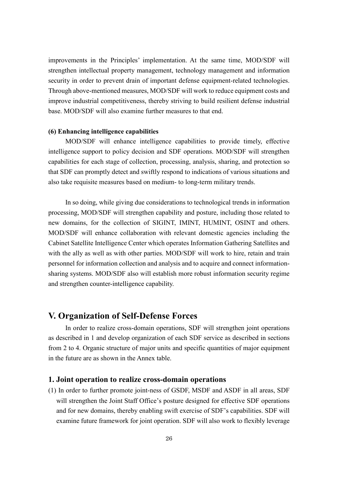improvements in the Principles' implementation. At the same time, MOD/SDF will strengthen intellectual property management, technology management and information security in order to prevent drain of important defense equipment-related technologies. Through above-mentioned measures, MOD/SDF will work to reduce equipment costs and improve industrial competitiveness, thereby striving to build resilient defense industrial base. MOD/SDF will also examine further measures to that end.

#### **(6) Enhancing intelligence capabilities**

MOD/SDF will enhance intelligence capabilities to provide timely, effective intelligence support to policy decision and SDF operations. MOD/SDF will strengthen capabilities for each stage of collection, processing, analysis, sharing, and protection so that SDF can promptly detect and swiftly respond to indications of various situations and also take requisite measures based on medium- to long-term military trends.

In so doing, while giving due considerations to technological trends in information processing, MOD/SDF will strengthen capability and posture, including those related to new domains, for the collection of SIGINT, IMINT, HUMINT, OSINT and others. MOD/SDF will enhance collaboration with relevant domestic agencies including the Cabinet Satellite Intelligence Center which operates Information Gathering Satellites and with the ally as well as with other parties. MOD/SDF will work to hire, retain and train personnel for information collection and analysis and to acquire and connect informationsharing systems. MOD/SDF also will establish more robust information security regime and strengthen counter-intelligence capability.

# **V. Organization of Self-Defense Forces**

In order to realize cross-domain operations, SDF will strengthen joint operations as described in 1 and develop organization of each SDF service as described in sections from 2 to 4. Organic structure of major units and specific quantities of major equipment in the future are as shown in the Annex table.

#### **1. Joint operation to realize cross-domain operations**

(1) In order to further promote joint-ness of GSDF, MSDF and ASDF in all areas, SDF will strengthen the Joint Staff Office's posture designed for effective SDF operations and for new domains, thereby enabling swift exercise of SDF's capabilities. SDF will examine future framework for joint operation. SDF will also work to flexibly leverage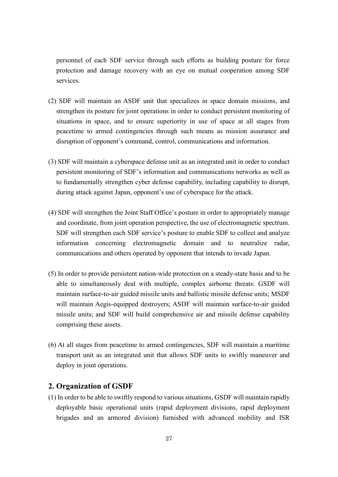personnel of each SDF service through such efforts as building posture for force protection and damage recovery with an eye on mutual cooperation among SDF services.

- (2) SDF will maintain an ASDF unit that specializes in space domain missions, and strengthen its posture for joint operations in order to conduct persistent monitoring of situations in space, and to ensure superiority in use of space at all stages from peacetime to armed contingencies through such means as mission assurance and disruption of opponent's command, control, communications and information.
- (3) SDF will maintain a cyberspace defense unit as an integrated unit in order to conduct persistent monitoring of SDF's information and communications networks as well as to fundamentally strengthen cyber defense capability, including capability to disrupt, during attack against Japan, opponent's use of cyberspace for the attack.
- (4) SDF will strengthen the Joint Staff Office's posture in order to appropriately manage and coordinate, from joint operation perspective, the use of electromagnetic spectrum. SDF will strengthen each SDF service's posture to enable SDF to collect and analyze information concerning electromagnetic domain and to neutralize radar, communications and others operated by opponent that intends to invade Japan.
- (5) In order to provide persistent nation-wide protection on a steady-state basis and to be able to simultaneously deal with multiple, complex airborne threats: GSDF will maintain surface-to-air guided missile units and ballistic missile defense units; MSDF will maintain Aegis-equipped destroyers; ASDF will maintain surface-to-air guided missile units; and SDF will build comprehensive air and missile defense capability comprising these assets.
- (6) At all stages from peacetime to armed contingencies, SDF will maintain a maritime transport unit as an integrated unit that allows SDF units to swiftly maneuver and deploy in joint operations.

#### **2. Organization of GSDF**

(1) In order to be able to swiftly respond to various situations, GSDF will maintain rapidly deployable basic operational units (rapid deployment divisions, rapid deployment brigades and an armored division) furnished with advanced mobility and ISR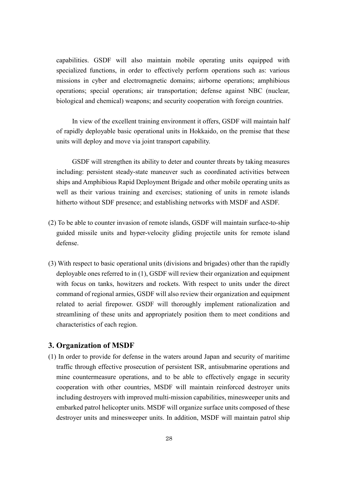capabilities. GSDF will also maintain mobile operating units equipped with specialized functions, in order to effectively perform operations such as: various missions in cyber and electromagnetic domains; airborne operations; amphibious operations; special operations; air transportation; defense against NBC (nuclear, biological and chemical) weapons; and security cooperation with foreign countries.

In view of the excellent training environment it offers, GSDF will maintain half of rapidly deployable basic operational units in Hokkaido, on the premise that these units will deploy and move via joint transport capability.

GSDF will strengthen its ability to deter and counter threats by taking measures including: persistent steady-state maneuver such as coordinated activities between ships and Amphibious Rapid Deployment Brigade and other mobile operating units as well as their various training and exercises; stationing of units in remote islands hitherto without SDF presence; and establishing networks with MSDF and ASDF.

- (2) To be able to counter invasion of remote islands, GSDF will maintain surface-to-ship guided missile units and hyper-velocity gliding projectile units for remote island defense.
- (3) With respect to basic operational units (divisions and brigades) other than the rapidly deployable ones referred to in (1), GSDF will review their organization and equipment with focus on tanks, howitzers and rockets. With respect to units under the direct command of regional armies, GSDF will also review their organization and equipment related to aerial firepower. GSDF will thoroughly implement rationalization and streamlining of these units and appropriately position them to meet conditions and characteristics of each region.

### **3. Organization of MSDF**

(1) In order to provide for defense in the waters around Japan and security of maritime traffic through effective prosecution of persistent ISR, antisubmarine operations and mine countermeasure operations, and to be able to effectively engage in security cooperation with other countries, MSDF will maintain reinforced destroyer units including destroyers with improved multi-mission capabilities, minesweeper units and embarked patrol helicopter units. MSDF will organize surface units composed of these destroyer units and minesweeper units. In addition, MSDF will maintain patrol ship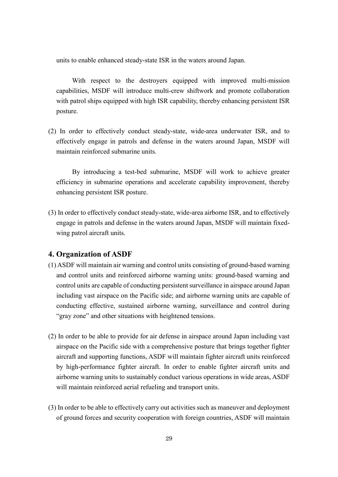units to enable enhanced steady-state ISR in the waters around Japan.

With respect to the destroyers equipped with improved multi-mission capabilities, MSDF will introduce multi-crew shiftwork and promote collaboration with patrol ships equipped with high ISR capability, thereby enhancing persistent ISR posture.

(2) In order to effectively conduct steady-state, wide-area underwater ISR, and to effectively engage in patrols and defense in the waters around Japan, MSDF will maintain reinforced submarine units.

By introducing a test-bed submarine, MSDF will work to achieve greater efficiency in submarine operations and accelerate capability improvement, thereby enhancing persistent ISR posture.

(3) In order to effectively conduct steady-state, wide-area airborne ISR, and to effectively engage in patrols and defense in the waters around Japan, MSDF will maintain fixedwing patrol aircraft units.

#### **4. Organization of ASDF**

- (1) ASDF will maintain air warning and control units consisting of ground-based warning and control units and reinforced airborne warning units: ground-based warning and control units are capable of conducting persistent surveillance in airspace around Japan including vast airspace on the Pacific side; and airborne warning units are capable of conducting effective, sustained airborne warning, surveillance and control during "gray zone" and other situations with heightened tensions.
- (2) In order to be able to provide for air defense in airspace around Japan including vast airspace on the Pacific side with a comprehensive posture that brings together fighter aircraft and supporting functions, ASDF will maintain fighter aircraft units reinforced by high-performance fighter aircraft. In order to enable fighter aircraft units and airborne warning units to sustainably conduct various operations in wide areas, ASDF will maintain reinforced aerial refueling and transport units.
- (3) In order to be able to effectively carry out activities such as maneuver and deployment of ground forces and security cooperation with foreign countries, ASDF will maintain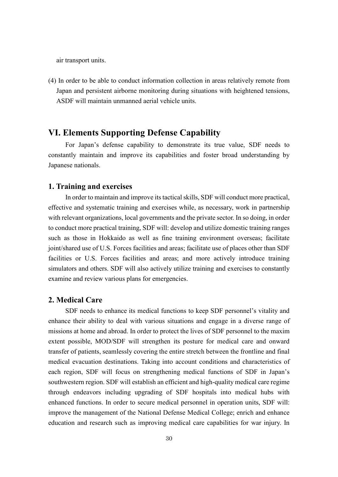air transport units.

(4) In order to be able to conduct information collection in areas relatively remote from Japan and persistent airborne monitoring during situations with heightened tensions, ASDF will maintain unmanned aerial vehicle units.

# **VI. Elements Supporting Defense Capability**

For Japan's defense capability to demonstrate its true value, SDF needs to constantly maintain and improve its capabilities and foster broad understanding by Japanese nationals.

### **1. Training and exercises**

In order to maintain and improve its tactical skills, SDF will conduct more practical, effective and systematic training and exercises while, as necessary, work in partnership with relevant organizations, local governments and the private sector. In so doing, in order to conduct more practical training, SDF will: develop and utilize domestic training ranges such as those in Hokkaido as well as fine training environment overseas; facilitate joint/shared use of U.S. Forces facilities and areas; facilitate use of places other than SDF facilities or U.S. Forces facilities and areas; and more actively introduce training simulators and others. SDF will also actively utilize training and exercises to constantly examine and review various plans for emergencies.

#### **2. Medical Care**

SDF needs to enhance its medical functions to keep SDF personnel's vitality and enhance their ability to deal with various situations and engage in a diverse range of missions at home and abroad. In order to protect the lives of SDF personnel to the maxim extent possible, MOD/SDF will strengthen its posture for medical care and onward transfer of patients, seamlessly covering the entire stretch between the frontline and final medical evacuation destinations. Taking into account conditions and characteristics of each region, SDF will focus on strengthening medical functions of SDF in Japan's southwestern region. SDF will establish an efficient and high-quality medical care regime through endeavors including upgrading of SDF hospitals into medical hubs with enhanced functions. In order to secure medical personnel in operation units, SDF will: improve the management of the National Defense Medical College; enrich and enhance education and research such as improving medical care capabilities for war injury. In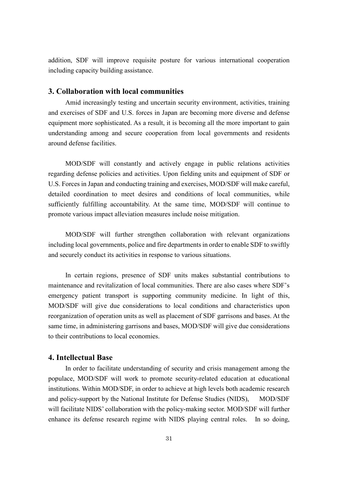addition, SDF will improve requisite posture for various international cooperation including capacity building assistance.

### **3. Collaboration with local communities**

Amid increasingly testing and uncertain security environment, activities, training and exercises of SDF and U.S. forces in Japan are becoming more diverse and defense equipment more sophisticated. As a result, it is becoming all the more important to gain understanding among and secure cooperation from local governments and residents around defense facilities.

MOD/SDF will constantly and actively engage in public relations activities regarding defense policies and activities. Upon fielding units and equipment of SDF or U.S. Forces in Japan and conducting training and exercises, MOD/SDF will make careful, detailed coordination to meet desires and conditions of local communities, while sufficiently fulfilling accountability. At the same time, MOD/SDF will continue to promote various impact alleviation measures include noise mitigation.

MOD/SDF will further strengthen collaboration with relevant organizations including local governments, police and fire departmentsin order to enable SDF to swiftly and securely conduct its activities in response to various situations.

In certain regions, presence of SDF units makes substantial contributions to maintenance and revitalization of local communities. There are also cases where SDF's emergency patient transport is supporting community medicine. In light of this, MOD/SDF will give due considerations to local conditions and characteristics upon reorganization of operation units as well as placement of SDF garrisons and bases. At the same time, in administering garrisons and bases, MOD/SDF will give due considerations to their contributions to local economies.

### **4. Intellectual Base**

In order to facilitate understanding of security and crisis management among the populace, MOD/SDF will work to promote security-related education at educational institutions. Within MOD/SDF, in order to achieve at high levels both academic research and policy-support by the National Institute for Defense Studies (NIDS), MOD/SDF will facilitate NIDS' collaboration with the policy-making sector. MOD/SDF will further enhance its defense research regime with NIDS playing central roles. In so doing,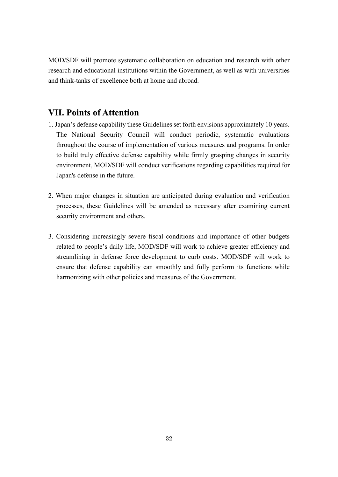MOD/SDF will promote systematic collaboration on education and research with other research and educational institutions within the Government, as well as with universities and think-tanks of excellence both at home and abroad.

# **VII. Points of Attention**

- 1. Japan's defense capability these Guidelines set forth envisions approximately 10 years. The National Security Council will conduct periodic, systematic evaluations throughout the course of implementation of various measures and programs. In order to build truly effective defense capability while firmly grasping changes in security environment, MOD/SDF will conduct verifications regarding capabilities required for Japan's defense in the future.
- 2. When major changes in situation are anticipated during evaluation and verification processes, these Guidelines will be amended as necessary after examining current security environment and others.
- 3. Considering increasingly severe fiscal conditions and importance of other budgets related to people's daily life, MOD/SDF will work to achieve greater efficiency and streamlining in defense force development to curb costs. MOD/SDF will work to ensure that defense capability can smoothly and fully perform its functions while harmonizing with other policies and measures of the Government.